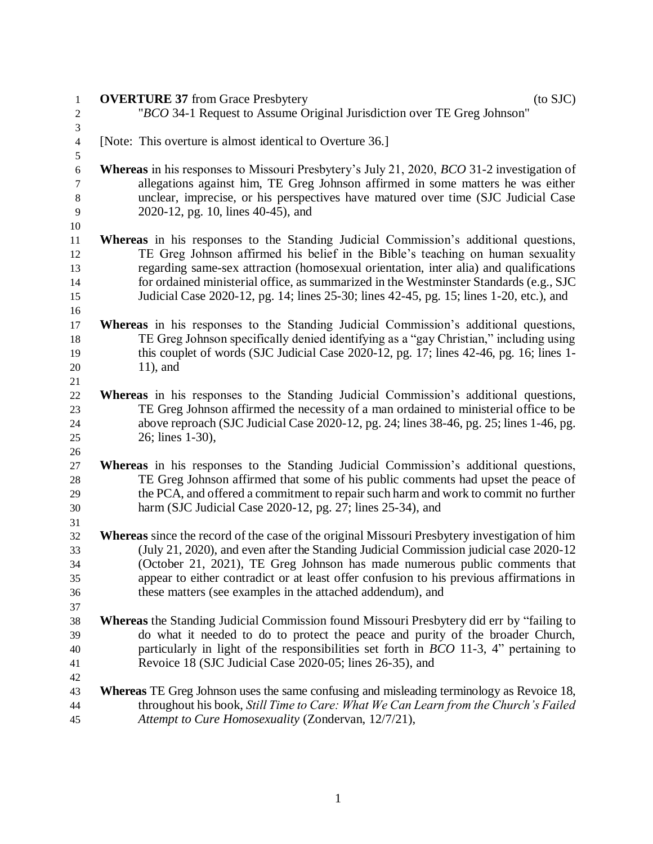| 1                            | $($ to SJC $)$<br><b>OVERTURE 37</b> from Grace Presbytery                                                              |
|------------------------------|-------------------------------------------------------------------------------------------------------------------------|
| $\boldsymbol{2}$             | "BCO 34-1 Request to Assume Original Jurisdiction over TE Greg Johnson"                                                 |
| 3                            |                                                                                                                         |
| $\overline{\mathbf{4}}$<br>5 | [Note: This overture is almost identical to Overture 36.]                                                               |
| $\sqrt{6}$                   | <b>Whereas</b> in his responses to Missouri Presbytery's July 21, 2020, <i>BCO</i> 31-2 investigation of                |
| 7                            | allegations against him, TE Greg Johnson affirmed in some matters he was either                                         |
| $8\,$<br>$\overline{9}$      | unclear, imprecise, or his perspectives have matured over time (SJC Judicial Case<br>2020-12, pg. 10, lines 40-45), and |
| 10                           |                                                                                                                         |
| 11                           | <b>Whereas</b> in his responses to the Standing Judicial Commission's additional questions,                             |
| 12                           | TE Greg Johnson affirmed his belief in the Bible's teaching on human sexuality                                          |
| 13                           | regarding same-sex attraction (homosexual orientation, inter alia) and qualifications                                   |
| 14                           | for ordained ministerial office, as summarized in the Westminster Standards (e.g., SJC)                                 |
| 15                           | Judicial Case 2020-12, pg. 14; lines 25-30; lines 42-45, pg. 15; lines 1-20, etc.), and                                 |
| 16                           | Whereas in his responses to the Standing Judicial Commission's additional questions,                                    |
| 17                           | TE Greg Johnson specifically denied identifying as a "gay Christian," including using                                   |
| 18                           | this couplet of words (SJC Judicial Case 2020-12, pg. 17; lines 42-46, pg. 16; lines 1-                                 |
| 19<br>20                     | $11$ , and                                                                                                              |
| 21                           |                                                                                                                         |
| 22                           | Whereas in his responses to the Standing Judicial Commission's additional questions,                                    |
| 23                           | TE Greg Johnson affirmed the necessity of a man ordained to ministerial office to be                                    |
| 24                           | above reproach (SJC Judicial Case 2020-12, pg. 24; lines 38-46, pg. 25; lines 1-46, pg.                                 |
| 25                           | 26; lines 1-30),                                                                                                        |
| 26                           |                                                                                                                         |
| 27                           | <b>Whereas</b> in his responses to the Standing Judicial Commission's additional questions,                             |
| 28                           | TE Greg Johnson affirmed that some of his public comments had upset the peace of                                        |
| 29                           | the PCA, and offered a commitment to repair such harm and work to commit no further                                     |
| 30                           | harm (SJC Judicial Case 2020-12, pg. 27; lines 25-34), and                                                              |
| 31                           |                                                                                                                         |
| 32                           | Whereas since the record of the case of the original Missouri Presbytery investigation of him                           |
| 33                           | (July 21, 2020), and even after the Standing Judicial Commission judicial case 2020-12                                  |
| 34                           | (October 21, 2021), TE Greg Johnson has made numerous public comments that                                              |
| 35                           | appear to either contradict or at least offer confusion to his previous affirmations in                                 |
| 36                           | these matters (see examples in the attached addendum), and                                                              |
| 37                           |                                                                                                                         |
| 38                           | <b>Whereas</b> the Standing Judicial Commission found Missouri Presbytery did err by "failing to                        |
| 39                           | do what it needed to do to protect the peace and purity of the broader Church,                                          |
| 40                           | particularly in light of the responsibilities set forth in $BCO$ 11-3, 4" pertaining to                                 |
| 41                           | Revoice 18 (SJC Judicial Case 2020-05; lines 26-35), and                                                                |
| 42                           |                                                                                                                         |
| 43                           | <b>Whereas</b> TE Greg Johnson uses the same confusing and misleading terminology as Revoice 18,                        |
| 44                           | throughout his book, Still Time to Care: What We Can Learn from the Church's Failed                                     |
| 45                           | Attempt to Cure Homosexuality (Zondervan, 12/7/21),                                                                     |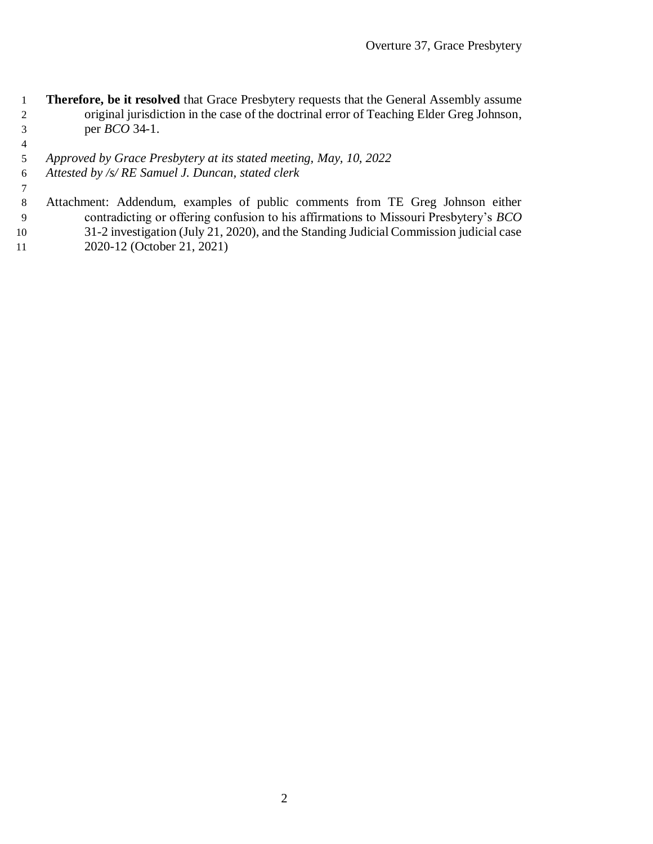- **Therefore, be it resolved** that Grace Presbytery requests that the General Assembly assume original jurisdiction in the case of the doctrinal error of Teaching Elder Greg Johnson, per *BCO* 34-1.
- *Approved by Grace Presbytery at its stated meeting, May, 10, 2022*
- *Attested by /s/ RE Samuel J. Duncan, stated clerk*
- Attachment: Addendum, examples of public comments from TE Greg Johnson either contradicting or offering confusion to his affirmations to Missouri Presbytery's *BCO* 31-2 investigation (July 21, 2020), and the Standing Judicial Commission judicial case
- 2020-12 (October 21, 2021)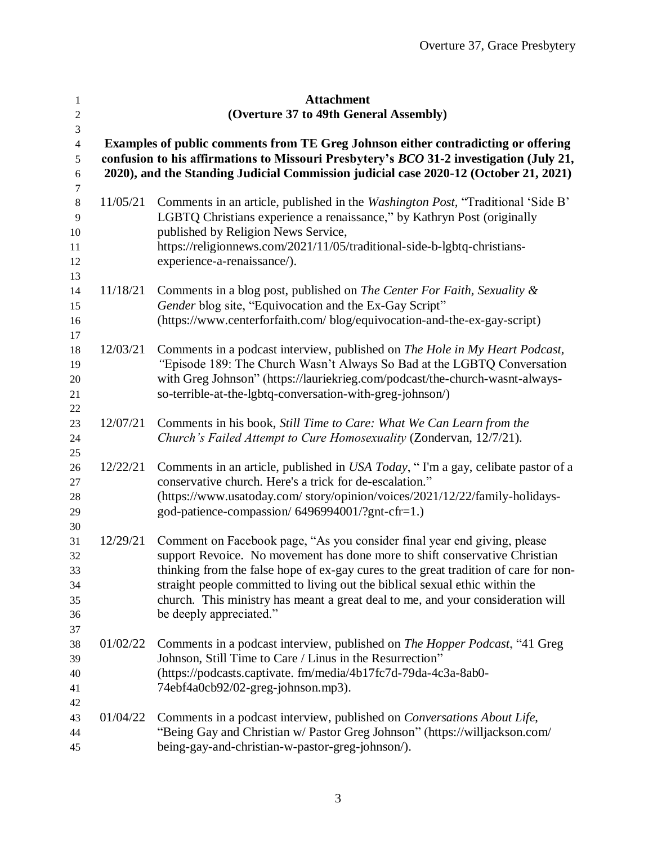| 1<br>$\mathbf{2}$                       |          | <b>Attachment</b><br>(Overture 37 to 49th General Assembly)                                                                                                                                                                                                                                                                                                                                                                                  |  |  |
|-----------------------------------------|----------|----------------------------------------------------------------------------------------------------------------------------------------------------------------------------------------------------------------------------------------------------------------------------------------------------------------------------------------------------------------------------------------------------------------------------------------------|--|--|
| 3<br>$\overline{4}$<br>5<br>$\sqrt{6}$  |          | Examples of public comments from TE Greg Johnson either contradicting or offering<br>confusion to his affirmations to Missouri Presbytery's BCO 31-2 investigation (July 21,<br>2020), and the Standing Judicial Commission judicial case 2020-12 (October 21, 2021)                                                                                                                                                                         |  |  |
| 7<br>$8\,$<br>9<br>10<br>11<br>12<br>13 | 11/05/21 | Comments in an article, published in the Washington Post, "Traditional 'Side B'<br>LGBTQ Christians experience a renaissance," by Kathryn Post (originally<br>published by Religion News Service,<br>https://religionnews.com/2021/11/05/traditional-side-b-lgbtq-christians-<br>experience-a-renaissance/).                                                                                                                                 |  |  |
| 14<br>15<br>16<br>17                    | 11/18/21 | Comments in a blog post, published on <i>The Center For Faith</i> , Sexuality &<br>Gender blog site, "Equivocation and the Ex-Gay Script"<br>(https://www.centerforfaith.com/ blog/equivocation-and-the-ex-gay-script)                                                                                                                                                                                                                       |  |  |
| 18<br>19<br>20<br>21<br>22              | 12/03/21 | Comments in a podcast interview, published on The Hole in My Heart Podcast,<br>"Episode 189: The Church Wasn't Always So Bad at the LGBTQ Conversation<br>with Greg Johnson" (https://lauriekrieg.com/podcast/the-church-wasnt-always-<br>so-terrible-at-the-lgbtq-conversation-with-greg-johnson/)                                                                                                                                          |  |  |
| 23<br>24<br>25                          | 12/07/21 | Comments in his book, Still Time to Care: What We Can Learn from the<br>Church's Failed Attempt to Cure Homosexuality (Zondervan, 12/7/21).                                                                                                                                                                                                                                                                                                  |  |  |
| 26<br>27<br>28<br>29<br>30              | 12/22/21 | Comments in an article, published in USA Today, "I'm a gay, celibate pastor of a<br>conservative church. Here's a trick for de-escalation."<br>(https://www.usatoday.com/story/opinion/voices/2021/12/22/family-holidays-<br>god-patience-compassion/6496994001/?gnt-cfr=1.)                                                                                                                                                                 |  |  |
| 31<br>32<br>33<br>34<br>35<br>36<br>37  | 12/29/21 | Comment on Facebook page, "As you consider final year end giving, please<br>support Revoice. No movement has done more to shift conservative Christian<br>thinking from the false hope of ex-gay cures to the great tradition of care for non-<br>straight people committed to living out the biblical sexual ethic within the<br>church. This ministry has meant a great deal to me, and your consideration will<br>be deeply appreciated." |  |  |
| 38<br>39<br>40<br>41<br>42              | 01/02/22 | Comments in a podcast interview, published on <i>The Hopper Podcast</i> , "41 Greg<br>Johnson, Still Time to Care / Linus in the Resurrection"<br>(https://podcasts.captivate.fm/media/4b17fc7d-79da-4c3a-8ab0-<br>74ebf4a0cb92/02-greg-johnson.mp3).                                                                                                                                                                                        |  |  |
| 43<br>44<br>45                          | 01/04/22 | Comments in a podcast interview, published on <i>Conversations About Life</i> ,<br>"Being Gay and Christian w/ Pastor Greg Johnson" (https://willjackson.com/<br>being-gay-and-christian-w-pastor-greg-johnson/).                                                                                                                                                                                                                            |  |  |